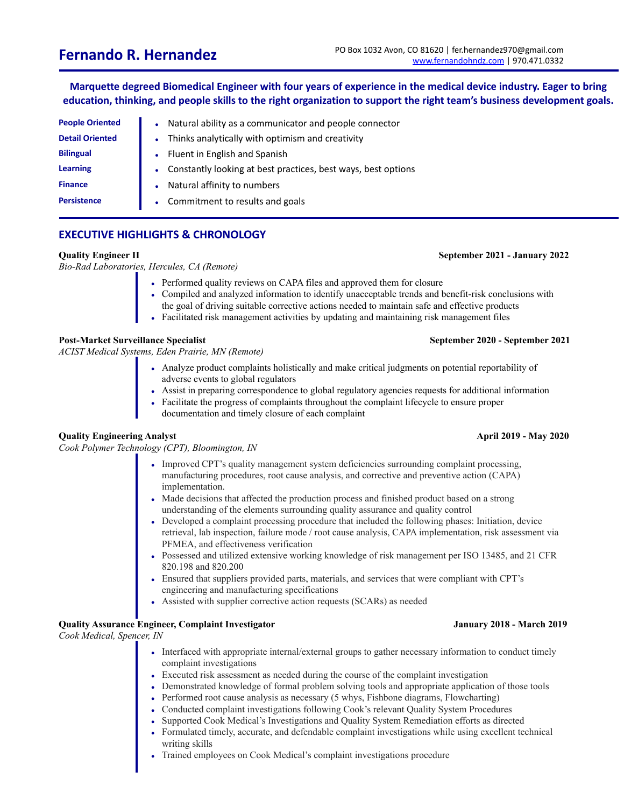Marquette degreed Biomedical Engineer with four years of experience in the medical device industry. Eager to bring education, thinking, and people skills to the right organization to support the right team's business development goals.

| <b>People Oriented</b> | Natural ability as a communicator and people connector        |
|------------------------|---------------------------------------------------------------|
| <b>Detail Oriented</b> | Thinks analytically with optimism and creativity              |
| <b>Bilingual</b>       | Fluent in English and Spanish                                 |
| <b>Learning</b>        | Constantly looking at best practices, best ways, best options |
| <b>Finance</b>         | Natural affinity to numbers                                   |
| <b>Persistence</b>     | Commitment to results and goals                               |

# **EXECUTIVE HIGHLIGHTS & CHRONOLOGY**

*Bio-Rad Laboratories, Hercules, CA (Remote)*

- Performed quality reviews on CAPA files and approved them for closure
- Compiled and analyzed information to identify unacceptable trends and benefit-risk conclusions with
- the goal of driving suitable corrective actions needed to maintain safe and effective products
- Facilitated risk management activities by updating and maintaining risk management files

# **Post-Market Surveillance Specialist September 2020 - September 2021**

*ACIST Medical Systems, Eden Prairie, MN (Remote)*

- Analyze product complaints holistically and make critical judgments on potential reportability of adverse events to global regulators
- Assist in preparing correspondence to global regulatory agencies requests for additional information
- Facilitate the progress of complaints throughout the complaint lifecycle to ensure proper documentation and timely closure of each complaint

# **Quality Engineering Analyst April 2019 - May 2020**

*Cook Polymer Technology (CPT), Bloomington, IN*

- Improved CPT's quality management system deficiencies surrounding complaint processing, manufacturing procedures, root cause analysis, and corrective and preventive action (CAPA) implementation.
- Made decisions that affected the production process and finished product based on a strong understanding of the elements surrounding quality assurance and quality control
- Developed a complaint processing procedure that included the following phases: Initiation, device retrieval, lab inspection, failure mode / root cause analysis, CAPA implementation, risk assessment via PFMEA, and effectiveness verification
- Possessed and utilized extensive working knowledge of risk management per ISO 13485, and 21 CFR 820.198 and 820.200
- Ensured that suppliers provided parts, materials, and services that were compliant with CPT's engineering and manufacturing specifications
- Assisted with supplier corrective action requests (SCARs) as needed

# **Quality Assurance Engineer, Complaint Investigator January 2018 - March 2019**

*Cook Medical, Spencer, IN*

- Interfaced with appropriate internal/external groups to gather necessary information to conduct timely complaint investigations
- Executed risk assessment as needed during the course of the complaint investigation
- Demonstrated knowledge of formal problem solving tools and appropriate application of those tools
- Performed root cause analysis as necessary (5 whys, Fishbone diagrams, Flowcharting)
- Conducted complaint investigations following Cook's relevant Quality System Procedures
- Supported Cook Medical's Investigations and Quality System Remediation efforts as directed
- Formulated timely, accurate, and defendable complaint investigations while using excellent technical writing skills
- Trained employees on Cook Medical's complaint investigations procedure

### **Quality Engineer II September 2021 - January 2022**